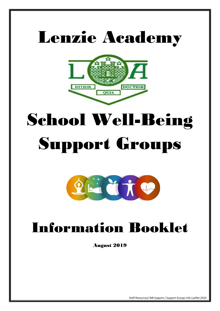## Lenzie Academy



# School Well-Being Support Groups



## Information Booklet

August 2019

Staff Resources/ WB Support / Support Groups Info Leaflet 2019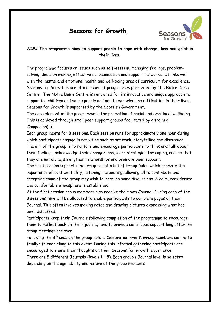#### **Seasons for Growth**



#### **AIM: The programme aims to support people to cope with change, loss and grief in their lives.**

The programme focuses on issues such as self-esteem, managing feelings, problemsolving, decision making, effective communication and support networks. It links well with the mental and emotional health and well-being area of curriculum for excellence. Seasons for Growth is one of a number of programmes presented by The Notre Dame Centre. The Notre Dame Centre is renowned for its innovative and unique approach to supporting children and young people and adults experiencing difficulties in their lives. Seasons for Growth is supported by the Scottish Government.

The core element of the programme is the promotion of social and emotional wellbeing. This is achieved through small peer support groups facilitated by a trained 'Companion(s)'.

Each group meets for 8 sessions. Each session runs for approximately one hour during which participants engage in activities such as art work, storytelling and discussion. The aim of the group is to nurture and encourage participants to think and talk about their feelings, acknowledge their change/ loss, learn strategies for coping, realise that they are not alone, strengthen relationships and promote peer support.

The first session supports the group to set a list of Group Rules which promote the importance of confidentiality, listening, respecting, allowing all to contribute and accepting some of the group may wish to 'pass' on some discussions. A calm, considerate and comfortable atmosphere is established.

At the first session group members also receive their own Journal. During each of the 8 sessions time will be allocated to enable participants to complete pages of their Journal. This often involves making notes and drawing pictures expressing what has been discussed.

Participants keep their Journals following completion of the programme to encourage them to reflect back on their 'journey' and to provide continuous support long after the group meetings are over.

Following the  $8<sup>th</sup>$  session the group hold a 'Celebration Event'. Group members can invite family/ friends along to this event. During this informal gathering participants are encouraged to share their thoughts on their Seasons for Growth experience. There are 5 different Journals (levels 1 – 5). Each group's Journal level is selected depending on the age, ability and nature of the group members.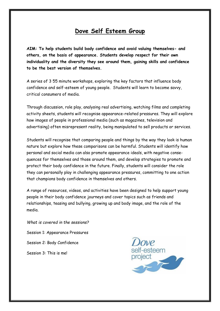#### **Dove Self Esteem Group**

**AIM: To help students build body confidence and avoid valuing themselves- and others, on the basis of appearance. Students develop respect for their own individuality and the diversity they see around them, gaining skills and confidence to be the best version of themselves.** 

A series of 3 55 minute workshops, exploring the key factors that influence body confidence and self-esteem of young people. Students will learn to become savvy, critical consumers of media.

Through discussion, role play, analysing real advertising, watching films and completing activity sheets, students will recognise appearance-related pressures. They will explore how images of people in professional media (such as magazines, television and advertising) often misrepresent reality, being manipulated to sell products or services.

Students will recognise that comparing people and things by the way they look is human nature but explore how these comparisons can be harmful. Students will identify how personal and social media can also promote appearance ideals, with negative consequences for themselves and those around them, and develop strategies to promote and protect their body confidence in the future. Finally, students will consider the role they can personally play in challenging appearance pressures, committing to one action that champions body confidence in themselves and others.

A range of resources, videos, and activities have been designed to help support young people in their body confidence journeys and cover topics such as friends and relationships, teasing and bullying, growing up and body image, and the role of the media.

*What is covered in the sessions?*  Session 1: Appearance Pressures Session 2: Body Confidence Session 3: This is me!

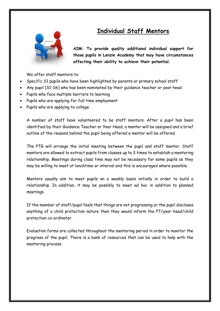### **Individual Staff Mentors**



**AIM: To provide quality additional individual support for those pupils in Lenzie Academy that may have circumstances affecting their ability to achieve their potential.**

We offer staff mentors to:

- Specific S1 pupils who have been highlighted by parents or primary school staff
- Any pupil (S1-S6) who has been nominated by their guidance teacher or year head
- Pupils who face multiple barriers to learning
- Pupils who are applying for full time employment
- Pupils who are applying to college

A number of staff have volunteered to be staff mentors. After a pupil has been identified by their Guidance Teacher or Year Head, a mentor will be assigned and a brief outline of the reasons behind the pupil being offered a mentor will be offered.

The PTG will arrange the initial meeting between the pupil and staff mentor. Staff mentors are allowed to extract pupils from classes up to 3 times to establish a mentoring relationship. Meetings during class time may not be necessary for some pupils as they may be willing to meet at lunchtime or interval and this is encouraged where possible.

Mentors usually aim to meet pupils on a weekly basis initially in order to build a relationship. In addition, it may be possibly to meet ad hoc in addition to planned meetings.

If the member of staff/pupil feels that things are not progressing or the pupil discloses anything of a child protection nature then they would inform the PT/year head/child protection co-ordinator.

Evaluation forms are collected throughout the mentoring period in order to monitor the progress of the pupil. There is a bank of resources that can be used to help with the mentoring process.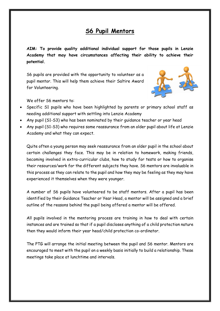#### **S6 Pupil Mentors**

**AIM: To provide quality additional individual support for those pupils in Lenzie Academy that may have circumstances affecting their ability to achieve their potential.**

S6 pupils are provided with the opportunity to volunteer as a pupil mentor. This will help them achieve their Saltire Award for Volunteering.



We offer S6 mentors to:

- Specific S1 pupils who have been highlighted by parents or primary school staff as needing additional support with settling into Lenzie Academy
- Any pupil (S1-S3) who has been nominated by their guidance teacher or year head
- Any pupil (S1-S3) who requires some reassurance from an older pupil about life at Lenzie Academy and what they can expect.

Quite often a young person may seek reassurance from an older pupil in the school about certain challenges they face. This may be in relation to homework, making friends, becoming involved in extra-curricular clubs, how to study for tests or how to organise their resources/work for the different subjects they have. S6 mentors are invaluable in this process as they can relate to the pupil and how they may be feeling as they may have experienced it themselves when they were younger.

A number of S6 pupils have volunteered to be staff mentors. After a pupil has been identified by their Guidance Teacher or Year Head, a mentor will be assigned and a brief outline of the reasons behind the pupil being offered a mentor will be offered.

All pupils involved in the mentoring process are training in how to deal with certain instances and are trained so that if a pupil discloses anything of a child protection nature then they would inform their year head/child protection co-ordinator.

The PTG will arrange the initial meeting between the pupil and S6 mentor. Mentors are encouraged to meet with the pupil on a weekly basis initially to build a relationship. These meetings take place at lunchtime and intervals.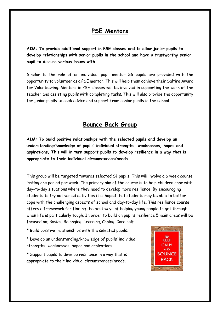#### **PSE Mentors**

**AIM: To provide additional support in PSE classes and to allow junior pupils to develop relationships with senior pupils in the school and have a trustworthy senior pupil to discuss various issues with.**

Similar to the role of an individual pupil mentor S6 pupils are provided with the opportunity to volunteer as a PSE mentor. This will help them achieve their Saltire Award for Volunteering. Mentors in PSE classes will be involved in supporting the work of the teacher and assisting pupils with completing tasks. This will also provide the opportunity for junior pupils to seek advice and support from senior pupils in the school.

#### **Bounce Back Group**

**AIM: To build positive relationships with the selected pupils and develop an understanding/knowledge of pupils' individual strengths, weaknesses, hopes and aspirations. This will in turn support pupils to develop resilience in a way that is appropriate to their individual circumstances/needs.**

This group will be targeted towards selected S1 pupils. This will involve a 6 week course lasting one period per week. The primary aim of the course is to help children cope with day-to-day situations where they need to develop more resilience. By encouraging students to try out varied activities it is hoped that students may be able to better cope with the challenging aspects of school and day-to-day life. This resilience course offers a framework for finding the best ways of helping young people to get through when life is particularly tough. In order to build on pupil's resilience 5 main areas will be focused on; Basics, Belonging, Learning, Coping, Core self.

- \* Build positive relationships with the selected pupils.
- \* Develop an understanding/knowledge of pupils' individual strengths, weaknesses, hopes and aspirations.
- \* Support pupils to develop resilience in a way that is appropriate to their individual circumstances/needs.

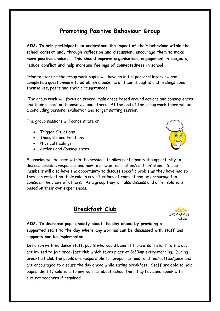### **Promoting Positive Behaviour Group**

**AIM: To help participants to understand the impact of their behaviour within the school context and, through reflection and discussion, encourage them to make more positive choices. This should improve organisation, engagement in subjects, reduce conflict and help increase feelings of connectedness in school.**

Prior to starting the group work pupils will have an initial personal interview and complete a questionnaire to establish a baseline of their thoughts and feelings about themselves, peers and their circumstances.

The group work will focus on several main areas based around actions and consequences and their impact on themselves and others. At the end of the group work there will be a concluding personal evaluation and target setting session.

The group sessions will concentrate on:

- Trigger Situations
- Thoughts and Emotions
- Physical Feelings
- Actions and Consequences



Scenarios will be used within the sessions to allow participants the opportunity to discuss possible responses and how to prevent escalation/confrontation. Group members will also have the opportunity to discuss specific problems they have had so they can reflect on their role in any situations of conflict and be encouraged to consider the views of others. As a group they will also discuss and offer solutions based on their own experiences.





**AIM: To decrease pupil anxiety about the day ahead by providing a supported start to the day where any worries can be discussed with staff and supports can be implemented.** 

In liaison with Guidance staff, pupils who would benefit from a 'soft start' to the day are invited to join breakfast club which takes place at 8:30am every morning. During breakfast club the pupils are responsible for preparing toast and tea/coffee/juice and are encouraged to discuss the day ahead while eating breakfast. Staff are able to help pupils identify solutions to any worries about school that they have and speak with subject teachers if required.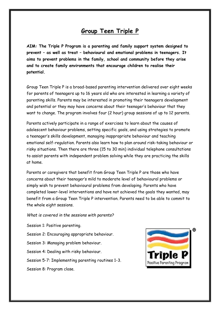#### **Group Teen Triple P**

**AIM: The Triple P Program is a parenting and family support system designed to prevent – as well as treat – behavioural and emotional problems in teenagers. It aims to prevent problems in the family, school and community before they arise and to create family environments that encourage children to realise their potential.**

Group Teen Triple P is a broad-based parenting intervention delivered over eight weeks for parents of teenagers up to 16 years old who are interested in learning a variety of parenting skills. Parents may be interested in promoting their teenagers development and potential or they may have concerns about their teenager's behaviour that they want to change. The program involves four (2 hour) group sessions of up to 12 parents.

Parents actively participate in a range of exercises to learn about the causes of adolescent behaviour problems, setting specific goals, and using strategies to promote a teenager's skills development, managing inappropriate behaviour and teaching emotional self-regulation. Parents also learn how to plan around risk-taking behaviour or risky situations. Then there are three (15 to 30 min) individual telephone consultations to assist parents with independent problem solving while they are practicing the skills at home.

Parents or caregivers that benefit from Group Teen Triple P are those who have concerns about their teenager's mild to moderate level of behavioural problems or simply wish to prevent behavioural problems from developing. Parents who have completed lower-level interventions and have not achieved the goals they wanted, may benefit from a Group Teen Triple P intervention. Parents need to be able to commit to the whole eight sessions.

*What is covered in the sessions with parents?* 

Session 1: Positive parenting.

Session 2: Encouraging appropriate behaviour.

Session 3: Managing problem behaviour.

Session 4: Dealing with risky behaviour.

Session 5-7: Implementing parenting routines 1-3.

Session 8: Program close.

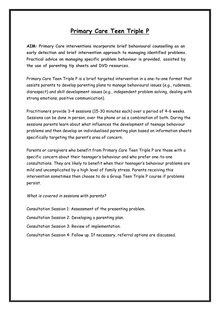#### **Primary Care Teen Triple P**

**AIM: Primary Care interventions incorporate brief behavioural counselling as an early detection and brief intervention approach to managing identified problems. Practical advice on managing specific problem behaviour is provided, assisted by the use of parenting tip sheets and DVD resources.** 

Primary Care Teen Triple P is a brief targeted intervention in a one-to-one format that assists parents to develop parenting plans to manage behavioural issues (e.g., rudeness, disrespect) and skill development issues (e.g., independent problem solving, dealing with strong emotions, positive communication).

Practitioners provide 3-4 sessions (15-30 minutes each) over a period of 4-6 weeks. Sessions can be done in person, over the phone or as a combination of both. During the sessions parents learn about what influences the development of teenage behaviour problems and then develop an individualised parenting plan based on information sheets specifically targeting the parent's area of concern.

Parents or caregivers who benefit from Primary Care Teen Triple P are those with a specific concern about their teenager's behaviour and who prefer one-to-one consultations. They are likely to benefit when their teenager's behaviour problems are mild and uncomplicated by a high level of family stress. Parents receiving this intervention sometimes then choose to do a Group Teen Triple P course if problems persist.

*What is covered in sessions with parents?* 

Consultation Session 1: Assessment of the presenting problem.

Consultation Session 2: Developing a parenting plan.

Consultation Session 3: Review of implementation.

Consultation Session 4: Follow up. If necessary, referral options are discussed.